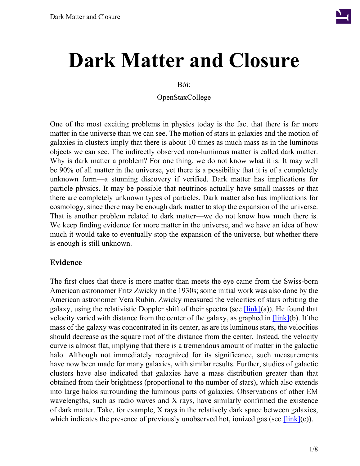

# **Dark Matter and Closure**

#### Bởi:

OpenStaxCollege

One of the most exciting problems in physics today is the fact that there is far more matter in the universe than we can see. The motion of stars in galaxies and the motion of galaxies in clusters imply that there is about 10 times as much mass as in the luminous objects we can see. The indirectly observed non-luminous matter is called dark matter. Why is dark matter a problem? For one thing, we do not know what it is. It may well be 90% of all matter in the universe, yet there is a possibility that it is of a completely unknown form—a stunning discovery if verified. Dark matter has implications for particle physics. It may be possible that neutrinos actually have small masses or that there are completely unknown types of particles. Dark matter also has implications for cosmology, since there may be enough dark matter to stop the expansion of the universe. That is another problem related to dark matter—we do not know how much there is. We keep finding evidence for more matter in the universe, and we have an idea of how much it would take to eventually stop the expansion of the universe, but whether there is enough is still unknown.

### **Evidence**

The first clues that there is more matter than meets the eye came from the Swiss-born American astronomer Fritz Zwicky in the 1930s; some initial work was also done by the American astronomer Vera Rubin. Zwicky measured the velocities of stars orbiting the galaxy, using the relativistic Doppler shift of their spectra (see  $\frac{[\text{link}]}{(\text{a})}$ ). He found that velocity varied with distance from the center of the galaxy, as graphed in  $[\text{link}](b)$ . If the mass of the galaxy was concentrated in its center, as are its luminous stars, the velocities should decrease as the square root of the distance from the center. Instead, the velocity curve is almost flat, implying that there is a tremendous amount of matter in the galactic halo. Although not immediately recognized for its significance, such measurements have now been made for many galaxies, with similar results. Further, studies of galactic clusters have also indicated that galaxies have a mass distribution greater than that obtained from their brightness (proportional to the number of stars), which also extends into large halos surrounding the luminous parts of galaxies. Observations of other EM wavelengths, such as radio waves and X rays, have similarly confirmed the existence of dark matter. Take, for example, X rays in the relatively dark space between galaxies, which indicates the presence of previously unobserved hot, ionized gas (see  $\frac{\text{link}}{\text{c}}$ ).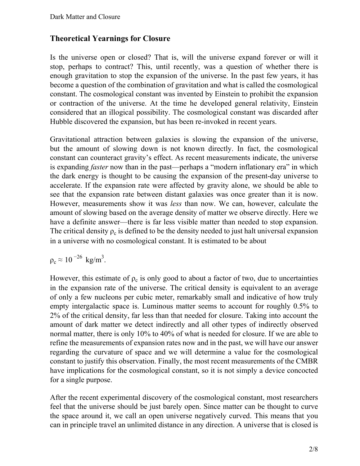## **Theoretical Yearnings for Closure**

Is the universe open or closed? That is, will the universe expand forever or will it stop, perhaps to contract? This, until recently, was a question of whether there is enough gravitation to stop the expansion of the universe. In the past few years, it has become a question of the combination of gravitation and what is called the cosmological constant. The cosmological constant was invented by Einstein to prohibit the expansion or contraction of the universe. At the time he developed general relativity, Einstein considered that an illogical possibility. The cosmological constant was discarded after Hubble discovered the expansion, but has been re-invoked in recent years.

Gravitational attraction between galaxies is slowing the expansion of the universe, but the amount of slowing down is not known directly. In fact, the cosmological constant can counteract gravity's effect. As recent measurements indicate, the universe is expanding *faster* now than in the past—perhaps a "modern inflationary era" in which the dark energy is thought to be causing the expansion of the present-day universe to accelerate. If the expansion rate were affected by gravity alone, we should be able to see that the expansion rate between distant galaxies was once greater than it is now. However, measurements show it was *less* than now. We can, however, calculate the amount of slowing based on the average density of matter we observe directly. Here we have a definite answer—there is far less visible matter than needed to stop expansion. The critical density  $\rho_c$  is defined to be the density needed to just halt universal expansion in a universe with no cosmological constant. It is estimated to be about

 $\rho_c \approx 10^{-26}$  kg/m<sup>3</sup>.

However, this estimate of  $\rho_c$  is only good to about a factor of two, due to uncertainties in the expansion rate of the universe. The critical density is equivalent to an average of only a few nucleons per cubic meter, remarkably small and indicative of how truly empty intergalactic space is. Luminous matter seems to account for roughly 0.5% to 2% of the critical density, far less than that needed for closure. Taking into account the amount of dark matter we detect indirectly and all other types of indirectly observed normal matter, there is only 10% to 40% of what is needed for closure. If we are able to refine the measurements of expansion rates now and in the past, we will have our answer regarding the curvature of space and we will determine a value for the cosmological constant to justify this observation. Finally, the most recent measurements of the CMBR have implications for the cosmological constant, so it is not simply a device concocted for a single purpose.

After the recent experimental discovery of the cosmological constant, most researchers feel that the universe should be just barely open. Since matter can be thought to curve the space around it, we call an open universe negatively curved. This means that you can in principle travel an unlimited distance in any direction. A universe that is closed is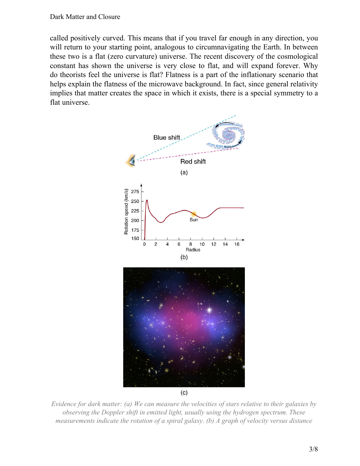<span id="page-2-0"></span>called positively curved. This means that if you travel far enough in any direction, you will return to your starting point, analogous to circumnavigating the Earth. In between these two is a flat (zero curvature) universe. The recent discovery of the cosmological constant has shown the universe is very close to flat, and will expand forever. Why do theorists feel the universe is flat? Flatness is a part of the inflationary scenario that helps explain the flatness of the microwave background. In fact, since general relativity implies that matter creates the space in which it exists, there is a special symmetry to a flat universe.



*Evidence for dark matter: (a) We can measure the velocities of stars relative to their galaxies by observing the Doppler shift in emitted light, usually using the hydrogen spectrum. These measurements indicate the rotation of a spiral galaxy. (b) A graph of velocity versus distance*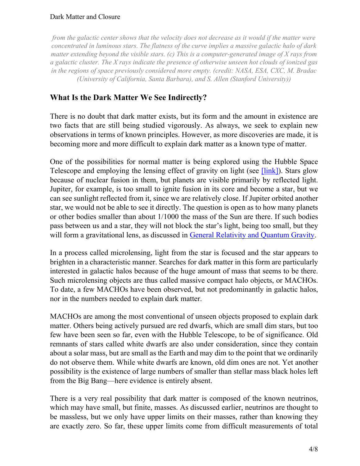#### Dark Matter and Closure

*from the galactic center shows that the velocity does not decrease as it would if the matter were concentrated in luminous stars. The flatness of the curve implies a massive galactic halo of dark matter extending beyond the visible stars. (c) This is a computer-generated image of X rays from a galactic cluster. The X rays indicate the presence of otherwise unseen hot clouds of ionized gas in the regions of space previously considered more empty. (credit: NASA, ESA, CXC, M. Bradac (University of California, Santa Barbara), and S. Allen (Stanford University))*

## **What Is the Dark Matter We See Indirectly?**

There is no doubt that dark matter exists, but its form and the amount in existence are two facts that are still being studied vigorously. As always, we seek to explain new observations in terms of known principles. However, as more discoveries are made, it is becoming more and more difficult to explain dark matter as a known type of matter.

One of the possibilities for normal matter is being explored using the Hubble Space Telescope and employing the lensing effect of gravity on light (see  $[\text{link}]$ ). Stars glow because of nuclear fusion in them, but planets are visible primarily by reflected light. Jupiter, for example, is too small to ignite fusion in its core and become a star, but we can see sunlight reflected from it, since we are relatively close. If Jupiter orbited another star, we would not be able to see it directly. The question is open as to how many planets or other bodies smaller than about 1/1000 the mass of the Sun are there. If such bodies pass between us and a star, they will not block the star's light, being too small, but they will form a gravitational lens, as discussed in [General Relativity and Quantum Gravity](/m42689).

In a process called microlensing, light from the star is focused and the star appears to brighten in a characteristic manner. Searches for dark matter in this form are particularly interested in galactic halos because of the huge amount of mass that seems to be there. Such microlensing objects are thus called massive compact halo objects, or MACHOs. To date, a few MACHOs have been observed, but not predominantly in galactic halos, nor in the numbers needed to explain dark matter.

MACHOs are among the most conventional of unseen objects proposed to explain dark matter. Others being actively pursued are red dwarfs, which are small dim stars, but too few have been seen so far, even with the Hubble Telescope, to be of significance. Old remnants of stars called white dwarfs are also under consideration, since they contain about a solar mass, but are small as the Earth and may dim to the point that we ordinarily do not observe them. While white dwarfs are known, old dim ones are not. Yet another possibility is the existence of large numbers of smaller than stellar mass black holes left from the Big Bang—here evidence is entirely absent.

There is a very real possibility that dark matter is composed of the known neutrinos, which may have small, but finite, masses. As discussed earlier, neutrinos are thought to be massless, but we only have upper limits on their masses, rather than knowing they are exactly zero. So far, these upper limits come from difficult measurements of total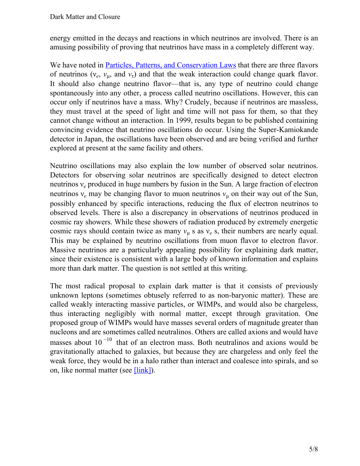energy emitted in the decays and reactions in which neutrinos are involved. There is an amusing possibility of proving that neutrinos have mass in a completely different way.

We have noted in **Particles**, Patterns, and [Conservation](/m42674) Laws that there are three flavors of neutrinos ( $v_e$ ,  $v_\mu$ , and  $v_\tau$ ) and that the weak interaction could change quark flavor. It should also change neutrino flavor—that is, any type of neutrino could change spontaneously into any other, a process called neutrino oscillations. However, this can occur only if neutrinos have a mass. Why? Crudely, because if neutrinos are massless, they must travel at the speed of light and time will not pass for them, so that they cannot change without an interaction. In 1999, results began to be published containing convincing evidence that neutrino oscillations do occur. Using the Super-Kamiokande detector in Japan, the oscillations have been observed and are being verified and further explored at present at the same facility and others.

Neutrino oscillations may also explain the low number of observed solar neutrinos. Detectors for observing solar neutrinos are specifically designed to detect electron neutrinos ν*<sup>e</sup>* produced in huge numbers by fusion in the Sun. A large fraction of electron neutrinos  $v_e$  may be changing flavor to muon neutrinos  $v_u$  on their way out of the Sun, possibly enhanced by specific interactions, reducing the flux of electron neutrinos to observed levels. There is also a discrepancy in observations of neutrinos produced in cosmic ray showers. While these showers of radiation produced by extremely energetic cosmic rays should contain twice as many  $v_{\mu}$  s as  $v_e$  s, their numbers are nearly equal. This may be explained by neutrino oscillations from muon flavor to electron flavor. Massive neutrinos are a particularly appealing possibility for explaining dark matter, since their existence is consistent with a large body of known information and explains more than dark matter. The question is not settled at this writing.

The most radical proposal to explain dark matter is that it consists of previously unknown leptons (sometimes obtusely referred to as non-baryonic matter). These are called weakly interacting massive particles, or WIMPs, and would also be chargeless, thus interacting negligibly with normal matter, except through gravitation. One proposed group of WIMPs would have masses several orders of magnitude greater than nucleons and are sometimes called neutralinos. Others are called axions and would have masses about  $10^{-10}$  that of an electron mass. Both neutralinos and axions would be gravitationally attached to galaxies, but because they are chargeless and only feel the weak force, they would be in a halo rather than interact and coalesce into spirals, and so on, like normal matter (see [\[link\]\)](#page-5-1).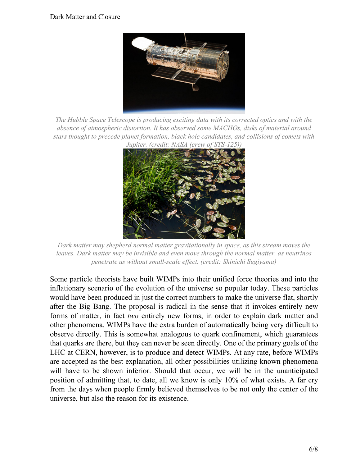

<span id="page-5-1"></span><span id="page-5-0"></span>*The Hubble Space Telescope is producing exciting data with its corrected optics and with the absence of atmospheric distortion. It has observed some MACHOs, disks of material around stars thought to precede planet formation, black hole candidates, and collisions of comets with*



*Dark matter may shepherd normal matter gravitationally in space, as this stream moves the leaves. Dark matter may be invisible and even move through the normal matter, as neutrinos penetrate us without small-scale effect. (credit: Shinichi Sugiyama)*

Some particle theorists have built WIMPs into their unified force theories and into the inflationary scenario of the evolution of the universe so popular today. These particles would have been produced in just the correct numbers to make the universe flat, shortly after the Big Bang. The proposal is radical in the sense that it invokes entirely new forms of matter, in fact *two* entirely new forms, in order to explain dark matter and other phenomena. WIMPs have the extra burden of automatically being very difficult to observe directly. This is somewhat analogous to quark confinement, which guarantees that quarks are there, but they can never be seen directly. One of the primary goals of the LHC at CERN, however, is to produce and detect WIMPs. At any rate, before WIMPs are accepted as the best explanation, all other possibilities utilizing known phenomena will have to be shown inferior. Should that occur, we will be in the unanticipated position of admitting that, to date, all we know is only 10% of what exists. A far cry from the days when people firmly believed themselves to be not only the center of the universe, but also the reason for its existence.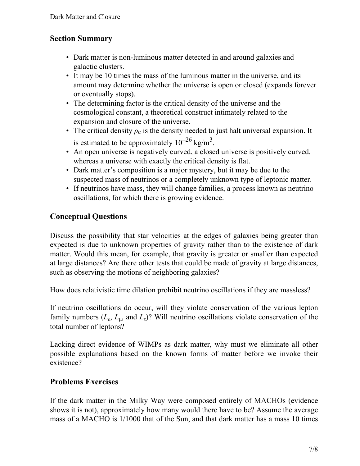# **Section Summary**

- Dark matter is non-luminous matter detected in and around galaxies and galactic clusters.
- It may be 10 times the mass of the luminous matter in the universe, and its amount may determine whether the universe is open or closed (expands forever or eventually stops).
- The determining factor is the critical density of the universe and the cosmological constant, a theoretical construct intimately related to the expansion and closure of the universe.
- The critical density  $\rho_c$  is the density needed to just halt universal expansion. It is estimated to be approximately  $10^{-26}$  kg/m<sup>3</sup>.
- An open universe is negatively curved, a closed universe is positively curved, whereas a universe with exactly the critical density is flat.
- Dark matter's composition is a major mystery, but it may be due to the suspected mass of neutrinos or a completely unknown type of leptonic matter.
- If neutrinos have mass, they will change families, a process known as neutrino oscillations, for which there is growing evidence.

# **Conceptual Questions**

Discuss the possibility that star velocities at the edges of galaxies being greater than expected is due to unknown properties of gravity rather than to the existence of dark matter. Would this mean, for example, that gravity is greater or smaller than expected at large distances? Are there other tests that could be made of gravity at large distances, such as observing the motions of neighboring galaxies?

How does relativistic time dilation prohibit neutrino oscillations if they are massless?

If neutrino oscillations do occur, will they violate conservation of the various lepton family numbers  $(L_e, L_\mu)$ , and  $L_\tau$ )? Will neutrino oscillations violate conservation of the total number of leptons?

Lacking direct evidence of WIMPs as dark matter, why must we eliminate all other possible explanations based on the known forms of matter before we invoke their existence?

## **Problems Exercises**

If the dark matter in the Milky Way were composed entirely of MACHOs (evidence shows it is not), approximately how many would there have to be? Assume the average mass of a MACHO is 1/1000 that of the Sun, and that dark matter has a mass 10 times